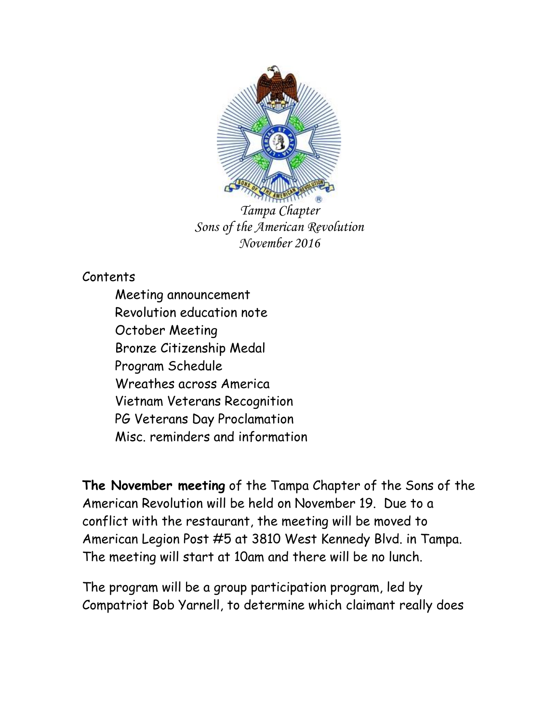

*Tampa Chapter Sons of the American Revolution November 2016*

Contents

Meeting announcement Revolution education note October Meeting Bronze Citizenship Medal Program Schedule Wreathes across America Vietnam Veterans Recognition PG Veterans Day Proclamation Misc. reminders and information

**The November meeting** of the Tampa Chapter of the Sons of the American Revolution will be held on November 19. Due to a conflict with the restaurant, the meeting will be moved to American Legion Post #5 at 3810 West Kennedy Blvd. in Tampa. The meeting will start at 10am and there will be no lunch.

The program will be a group participation program, led by Compatriot Bob Yarnell, to determine which claimant really does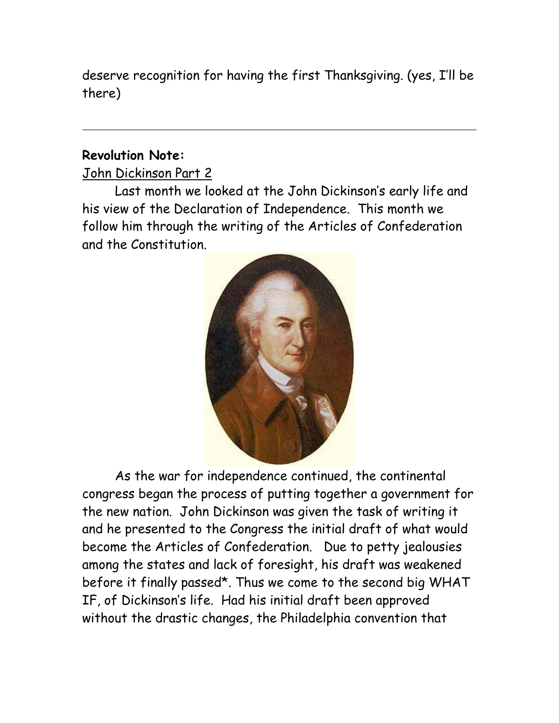deserve recognition for having the first Thanksgiving. (yes, I'll be there)

#### **Revolution Note:**

John Dickinson Part 2

Last month we looked at the John Dickinson's early life and his view of the Declaration of Independence. This month we follow him through the writing of the Articles of Confederation and the Constitution.



As the war for independence continued, the continental congress began the process of putting together a government for the new nation. John Dickinson was given the task of writing it and he presented to the Congress the initial draft of what would become the Articles of Confederation. Due to petty jealousies among the states and lack of foresight, his draft was weakened before it finally passed\*. Thus we come to the second big WHAT IF, of Dickinson's life. Had his initial draft been approved without the drastic changes, the Philadelphia convention that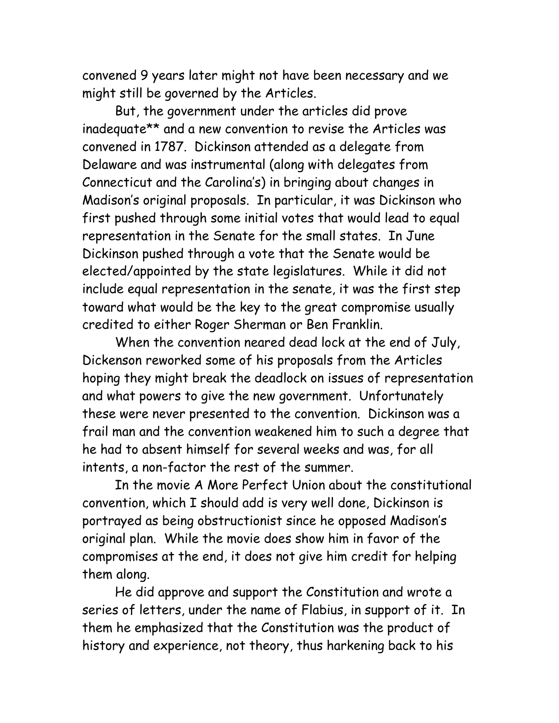convened 9 years later might not have been necessary and we might still be governed by the Articles.

But, the government under the articles did prove inadequate\*\* and a new convention to revise the Articles was convened in 1787. Dickinson attended as a delegate from Delaware and was instrumental (along with delegates from Connecticut and the Carolina's) in bringing about changes in Madison's original proposals. In particular, it was Dickinson who first pushed through some initial votes that would lead to equal representation in the Senate for the small states. In June Dickinson pushed through a vote that the Senate would be elected/appointed by the state legislatures. While it did not include equal representation in the senate, it was the first step toward what would be the key to the great compromise usually credited to either Roger Sherman or Ben Franklin.

When the convention neared dead lock at the end of July, Dickenson reworked some of his proposals from the Articles hoping they might break the deadlock on issues of representation and what powers to give the new government. Unfortunately these were never presented to the convention. Dickinson was a frail man and the convention weakened him to such a degree that he had to absent himself for several weeks and was, for all intents, a non-factor the rest of the summer.

In the movie A More Perfect Union about the constitutional convention, which I should add is very well done, Dickinson is portrayed as being obstructionist since he opposed Madison's original plan. While the movie does show him in favor of the compromises at the end, it does not give him credit for helping them along.

He did approve and support the Constitution and wrote a series of letters, under the name of Flabius, in support of it. In them he emphasized that the Constitution was the product of history and experience, not theory, thus harkening back to his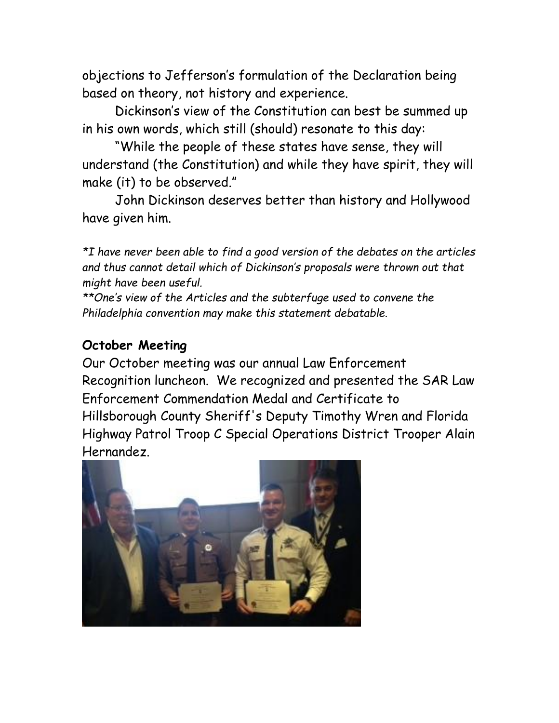objections to Jefferson's formulation of the Declaration being based on theory, not history and experience.

Dickinson's view of the Constitution can best be summed up in his own words, which still (should) resonate to this day:

"While the people of these states have sense, they will understand (the Constitution) and while they have spirit, they will make (it) to be observed."

John Dickinson deserves better than history and Hollywood have given him.

*\*I have never been able to find a good version of the debates on the articles and thus cannot detail which of Dickinson's proposals were thrown out that might have been useful.*

*\*\*One's view of the Articles and the subterfuge used to convene the Philadelphia convention may make this statement debatable.* 

### **October Meeting**

Our October meeting was our annual Law Enforcement Recognition luncheon. We recognized and presented the SAR Law Enforcement Commendation Medal and Certificate to Hillsborough County Sheriff's Deputy Timothy Wren and Florida Highway Patrol Troop C Special Operations District Trooper Alain Hernandez.

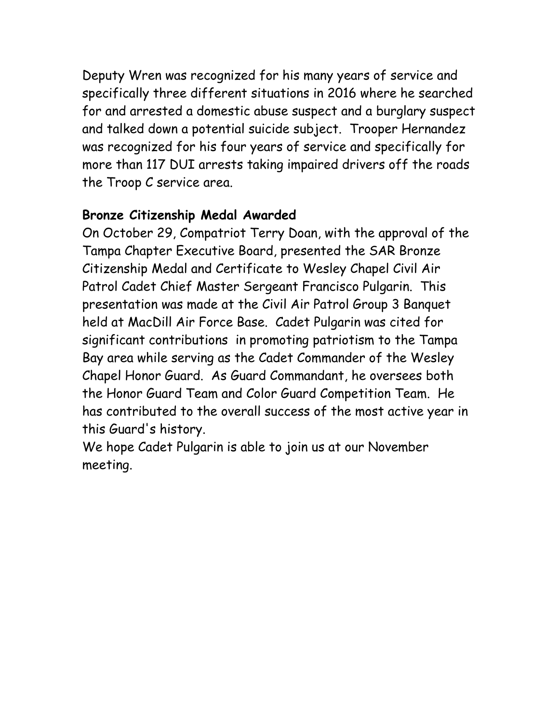Deputy Wren was recognized for his many years of service and specifically three different situations in 2016 where he searched for and arrested a domestic abuse suspect and a burglary suspect and talked down a potential suicide subject. Trooper Hernandez was recognized for his four years of service and specifically for more than 117 DUI arrests taking impaired drivers off the roads the Troop C service area.

## **Bronze Citizenship Medal Awarded**

On October 29, Compatriot Terry Doan, with the approval of the Tampa Chapter Executive Board, presented the SAR Bronze Citizenship Medal and Certificate to Wesley Chapel Civil Air Patrol Cadet Chief Master Sergeant Francisco Pulgarin. This presentation was made at the Civil Air Patrol Group 3 Banquet held at MacDill Air Force Base. Cadet Pulgarin was cited for significant contributions in promoting patriotism to the Tampa Bay area while serving as the Cadet Commander of the Wesley Chapel Honor Guard. As Guard Commandant, he oversees both the Honor Guard Team and Color Guard Competition Team. He has contributed to the overall success of the most active year in this Guard's history.

We hope Cadet Pulgarin is able to join us at our November meeting.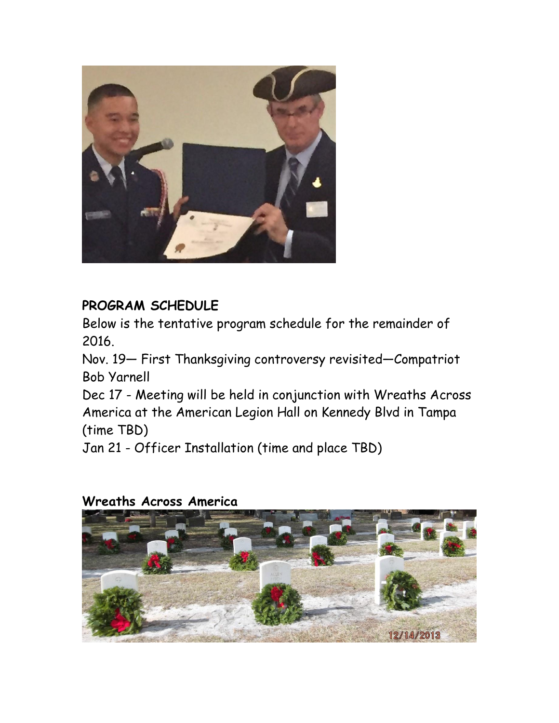

# **PROGRAM SCHEDULE**

Below is the tentative program schedule for the remainder of 2016.

Nov. 19— First Thanksgiving controversy revisited—Compatriot Bob Yarnell

Dec 17 - Meeting will be held in conjunction with Wreaths Across America at the American Legion Hall on Kennedy Blvd in Tampa (time TBD)

Jan 21 - Officer Installation (time and place TBD)

## **Wreaths Across America**

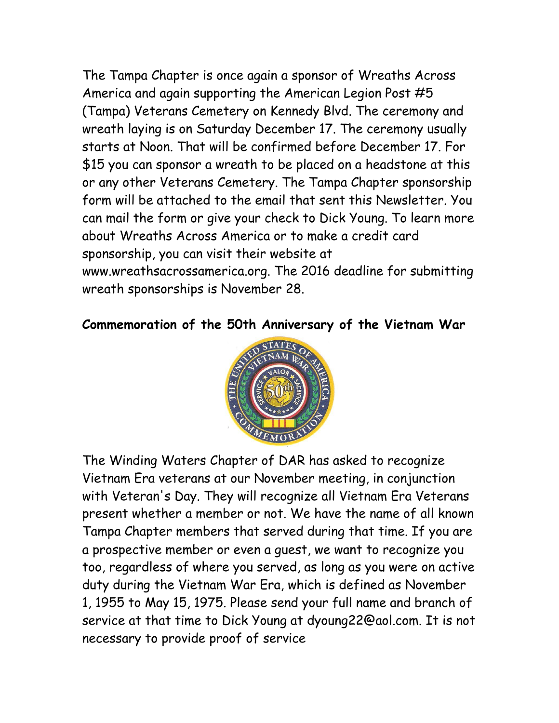The Tampa Chapter is once again a sponsor of Wreaths Across America and again supporting the American Legion Post #5 (Tampa) Veterans Cemetery on Kennedy Blvd. The ceremony and wreath laying is on Saturday December 17. The ceremony usually starts at Noon. That will be confirmed before December 17. For \$15 you can sponsor a wreath to be placed on a headstone at this or any other Veterans Cemetery. The Tampa Chapter sponsorship form will be attached to the email that sent this Newsletter. You can mail the form or give your check to Dick Young. To learn more about Wreaths Across America or to make a credit card sponsorship, you can visit their website at www.wreathsacrossamerica.org. The 2016 deadline for submitting wreath sponsorships is November 28.

### **Commemoration of the 50th Anniversary of the Vietnam War**



The Winding Waters Chapter of DAR has asked to recognize Vietnam Era veterans at our November meeting, in conjunction with Veteran's Day. They will recognize all Vietnam Era Veterans present whether a member or not. We have the name of all known Tampa Chapter members that served during that time. If you are a prospective member or even a guest, we want to recognize you too, regardless of where you served, as long as you were on active duty during the Vietnam War Era, which is defined as November 1, 1955 to May 15, 1975. Please send your full name and branch of service at that time to Dick Young at dyoung22@aol.com. It is not necessary to provide proof of service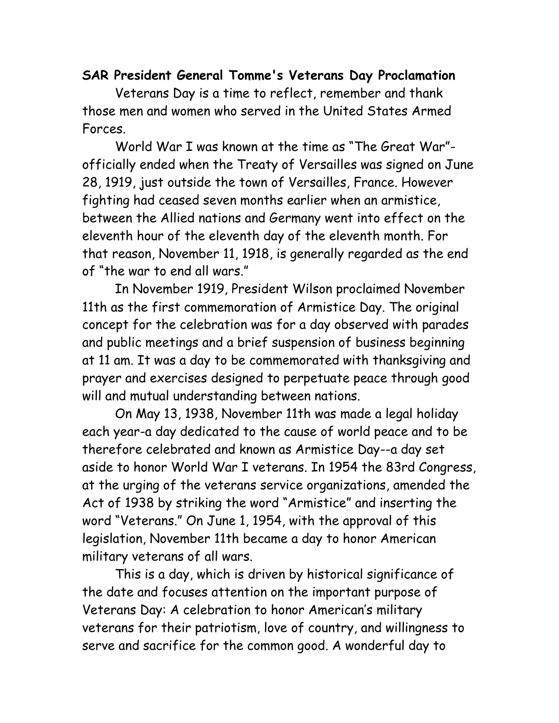### **SAR President General Tomme's Veterans Day Proclamation**

Veterans Day is a time to reflect, remember and thank those men and women who served in the United States Armed Forces.

World War I was known at the time as "The Great War" officially ended when the Treaty of Versailles was signed on June 28, 1919, just outside the town of Versailles, France. However fighting had ceased seven months earlier when an armistice, between the Allied nations and Germany went into effect on the eleventh hour of the eleventh day of the eleventh month. For that reason, November 11, 1918, is generally regarded as the end of "the war to end all wars."

In November 1919, President Wilson proclaimed November 11th as the first commemoration of Armistice Day. The original concept for the celebration was for a day observed with parades and public meetings and a brief suspension of business beginning at 11 am. It was a day to be commemorated with thanksgiving and prayer and exercises designed to perpetuate peace through good will and mutual understanding between nations.

On May 13, 1938, November 11th was made a legal holiday each year-a day dedicated to the cause of world peace and to be therefore celebrated and known as Armistice Day--a day set aside to honor World War I veterans. In 1954 the 83rd Congress, at the urging of the veterans service organizations, amended the Act of 1938 by striking the word "Armistice" and inserting the word "Veterans." On June 1, 1954, with the approval of this legislation, November 11th became a day to honor American military veterans of all wars.

This is a day, which is driven by historical significance of the date and focuses attention on the important purpose of Veterans Day: A celebration to honor American's military veterans for their patriotism, love of country, and willingness to serve and sacrifice for the common good. A wonderful day to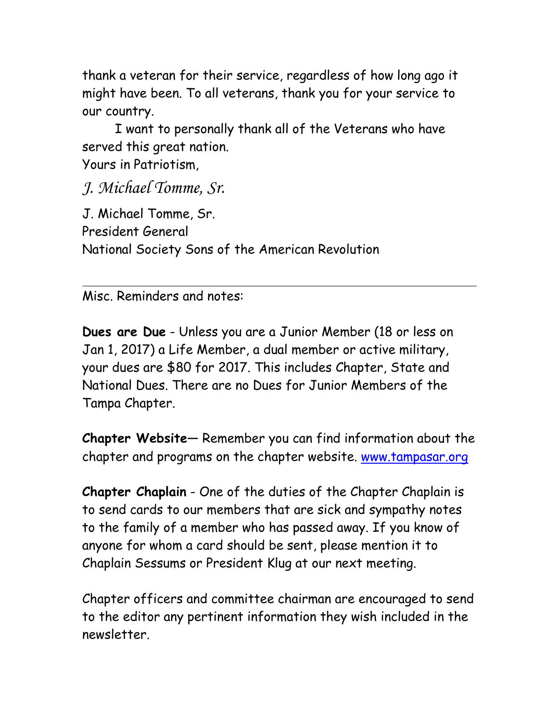thank a veteran for their service, regardless of how long ago it might have been. To all veterans, thank you for your service to our country.

I want to personally thank all of the Veterans who have served this great nation.

Yours in Patriotism,

*J. Michael Tomme, Sr.* 

J. Michael Tomme, Sr. President General National Society Sons of the American Revolution

Misc. Reminders and notes:

**Dues are Due** - Unless you are a Junior Member (18 or less on Jan 1, 2017) a Life Member, a dual member or active military, your dues are \$80 for 2017. This includes Chapter, State and National Dues. There are no Dues for Junior Members of the Tampa Chapter.

**Chapter Website**— Remember you can find information about the chapter and programs on the chapter website. [www.tampasar.org](http://www.tampasar.org/)

**Chapter Chaplain** - One of the duties of the Chapter Chaplain is to send cards to our members that are sick and sympathy notes to the family of a member who has passed away. If you know of anyone for whom a card should be sent, please mention it to Chaplain Sessums or President Klug at our next meeting.

Chapter officers and committee chairman are encouraged to send to the editor any pertinent information they wish included in the newsletter.